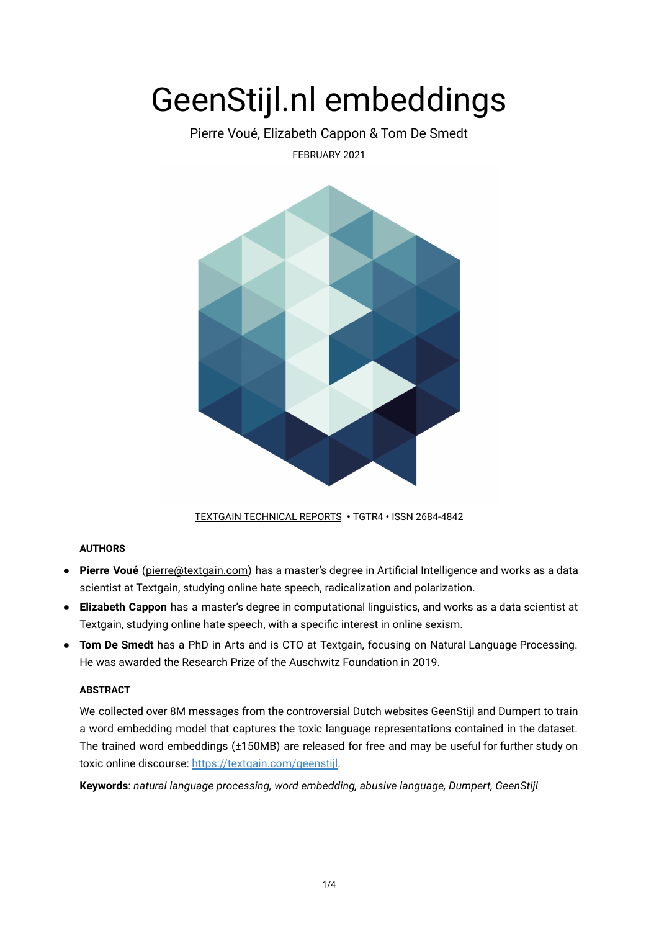# GeenStijl.nl embeddings

Pierre Voué, Elizabeth Cappon & Tom De Smedt FEBRUARY 2021



[TEXTGAIN TECHNICAL REPORTS](https://textgain.com/resources) **•** TGTR4 **•** ISSN 2684-4842

# **AUTHORS**

- **Pierre Voué** ([pierre@textgain.com](mailto:pierre@textgain.com)) has a master's degree in Artificial Intelligence and works as a data scientist at Textgain, studying online hate speech, radicalization and polarization.
- **Elizabeth Cappon** has a master's degree in computational linguistics, and works as a data scientist at Textgain, studying online hate speech, with a specific interest in online sexism.
- **Tom De Smedt** has a PhD in Arts and is CTO at Textgain, focusing on Natural Language Processing. He was awarded the Research Prize of the Auschwitz Foundation in 2019.

# **ABSTRACT**

We collected over 8M messages from the controversial Dutch websites GeenStijl and Dumpert to train a word embedding model that captures the toxic language representations contained in the dataset. The trained word embeddings (±150MB) are released for free and may be useful for further study on toxic online discourse: https://textgain.com/geenstijl.

**Keywords**: *natural language processing, word embedding, abusive language, Dumpert, GeenStijl*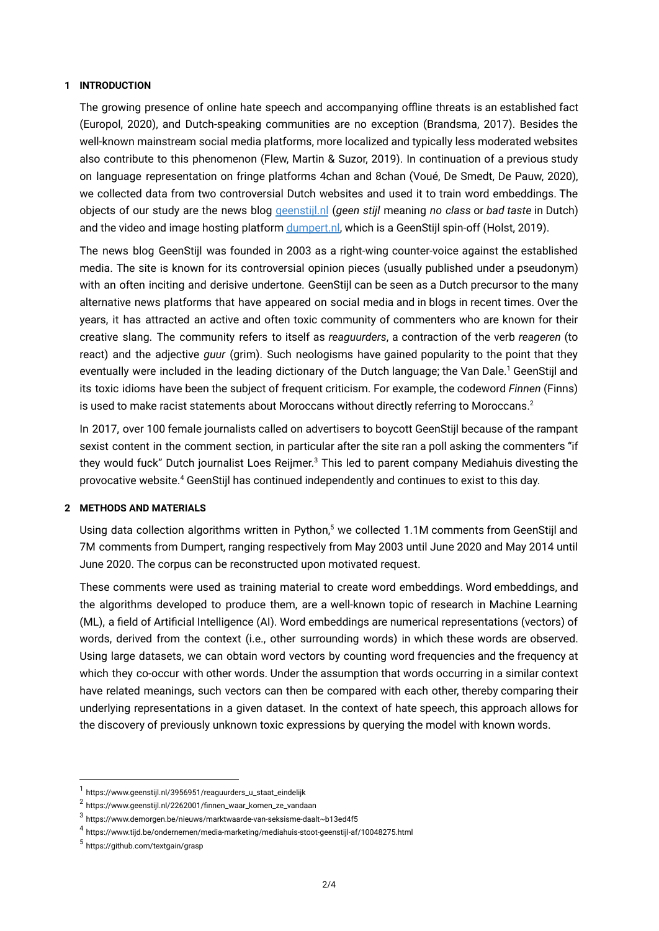#### **1 INTRODUCTION**

The growing presence of online hate speech and accompanying offline threats is an established fact (Europol, 2020), and Dutch-speaking communities are no exception (Brandsma, 2017). Besides the well-known mainstream social media platforms, more localized and typically less moderated websites also contribute to this phenomenon (Flew, Martin & Suzor, 2019). In continuation of a previous study on language representation on fringe platforms 4chan and 8chan (Voué, De Smedt, De Pauw, 2020), we collected data from two controversial Dutch websites and used it to train word embeddings. The objects of our study are the news blog [geenstijl.nl](https://www.geenstijl.nl/) (*geen stijl* meaning *no class* or *bad taste* in Dutch) and the video and image hosting platform [dumpert.nl,](https://www.dumpert.nl/) which is a GeenStijl spin-off (Holst, 2019).

The news blog GeenStijl was founded in 2003 as a right-wing counter-voice against the established media. The site is known for its controversial opinion pieces (usually published under a pseudonym) with an often inciting and derisive undertone. GeenStijl can be seen as a Dutch precursor to the many alternative news platforms that have appeared on social media and in blogs in recent times. Over the years, it has attracted an active and often toxic community of commenters who are known for their creative slang. The community refers to itself as *reaguurders*, a contraction of the verb *reageren* (to react) and the adjective *guur* (grim). Such neologisms have gained popularity to the point that they eventually were included in the leading dictionary of the Dutch language; the Van Dale. <sup>1</sup> GeenStijl and its toxic idioms have been the subject of frequent criticism. For example, the codeword *Finnen* (Finns) is used to make racist statements about Moroccans without directly referring to Moroccans. $^{\text{2}}$ 

In 2017, over 100 female journalists called on advertisers to boycott GeenStijl because of the rampant sexist content in the comment section, in particular after the site ran a poll asking the commenters "if they would fuck" Dutch journalist Loes Reijmer.<sup>3</sup> This led to parent company Mediahuis divesting the provocative website. <sup>4</sup> GeenStijl has continued independently and continues to exist to this day.

## **2 METHODS AND MATERIALS**

Using data collection algorithms written in Python,<sup>5</sup> we collected 1.1M comments from GeenStijl and 7M comments from Dumpert, ranging respectively from May 2003 until June 2020 and May 2014 until June 2020. The corpus can be reconstructed upon motivated request.

These comments were used as training material to create word embeddings. Word embeddings, and the algorithms developed to produce them, are a well-known topic of research in Machine Learning (ML), a field of Artificial Intelligence (AI). Word embeddings are numerical representations (vectors) of words, derived from the context (i.e., other surrounding words) in which these words are observed. Using large datasets, we can obtain word vectors by counting word frequencies and the frequency at which they co-occur with other words. Under the assumption that words occurring in a similar context have related meanings, such vectors can then be compared with each other, thereby comparing their underlying representations in a given dataset. In the context of hate speech, this approach allows for the discovery of previously unknown toxic expressions by querying the model with known words.

<sup>1</sup> https://www.geenstijl.nl/3956951/reaguurders\_u\_staat\_eindelijk

<sup>2</sup> https://www.geenstijl.nl/2262001/finnen\_waar\_komen\_ze\_vandaan

<sup>3</sup> https://www.demorgen.be/nieuws/marktwaarde-van-seksisme-daalt~b13ed4f5

<sup>4</sup> https://www.tijd.be/ondernemen/media-marketing/mediahuis-stoot-geenstijl-af/10048275.html

<sup>5</sup> https://github.com/textgain/grasp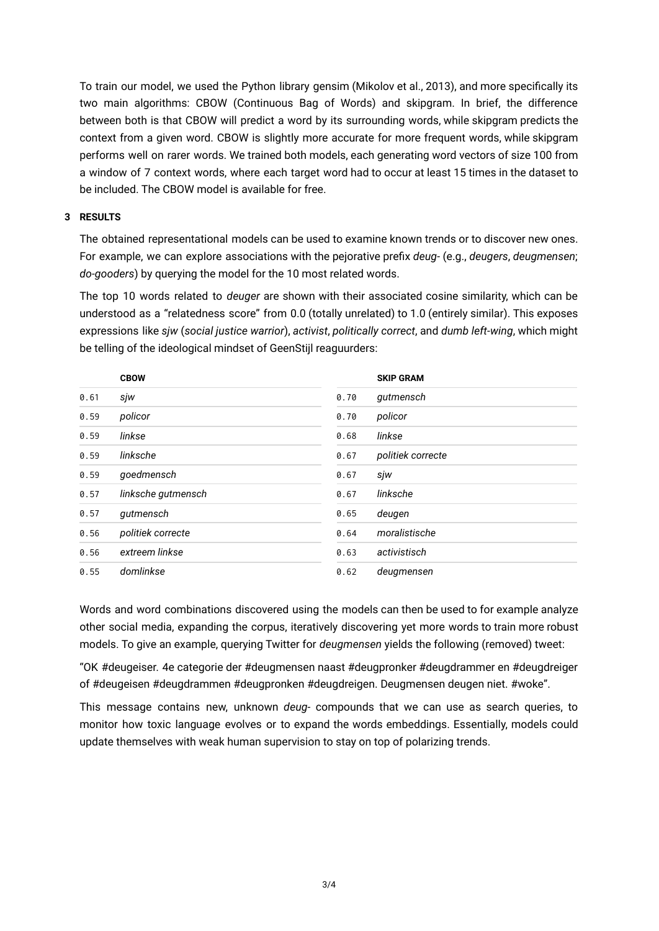To train our model, we used the Python library gensim (Mikolov et al., 2013), and more specifically its two main algorithms: CBOW (Continuous Bag of Words) and skipgram. In brief, the difference between both is that CBOW will predict a word by its surrounding words, while skipgram predicts the context from a given word. CBOW is slightly more accurate for more frequent words, while skipgram performs well on rarer words. We trained both models, each generating word vectors of size 100 from a window of 7 context words, where each target word had to occur at least 15 times in the dataset to be included. The CBOW model is available for free.

## **3 RESULTS**

The obtained representational models can be used to examine known trends or to discover new ones. For example, we can explore associations with the pejorative prefix *deug-* (e.g., *deugers*, *deugmensen*; *do-gooders*) by querying the model for the 10 most related words.

The top 10 words related to *deuger* are shown with their associated cosine similarity, which can be understood as a "relatedness score" from 0.0 (totally unrelated) to 1.0 (entirely similar). This exposes expressions like *sjw* (*social justice warrior*), *activist*, *politically correct*, and *dumb left-wing*, which might be telling of the ideological mindset of GeenStijl reaguurders:

|      | <b>CBOW</b>        |      | <b>SKIP GRAM</b>  |
|------|--------------------|------|-------------------|
| 0.61 | sjw                | 0.70 | gutmensch         |
| 0.59 | policor            | 0.70 | policor           |
| 0.59 | linkse             | 0.68 | linkse            |
| 0.59 | linksche           | 0.67 | politiek correcte |
| 0.59 | goedmensch         | 0.67 | siw               |
| 0.57 | linksche gutmensch | 0.67 | linksche          |
| 0.57 | gutmensch          | 0.65 | deugen            |
| 0.56 | politiek correcte  | 0.64 | moralistische     |
| 0.56 | extreem linkse     | 0.63 | activistisch      |
| 0.55 | domlinkse          | 0.62 | deugmensen        |

Words and word combinations discovered using the models can then be used to for example analyze other social media, expanding the corpus, iteratively discovering yet more words to train more robust models. To give an example, querying Twitter for *deugmensen* yields the following (removed) tweet:

"OK [#](https://twitter.com/hashtag/DeugEiser?src=hashtag_click)deugeiser. 4e categorie der #deugmensen naast #deugpronker #deugdrammer en #deugdreiger of #deugeisen #deugdrammen #deugpronken #deugdreigen. Deugmensen deugen niet. #woke".

This message contains new, unknown *deug-* compounds that we can use as search queries, to monitor how toxic language evolves or to expand the words embeddings. Essentially, models could update themselves with weak human supervision to stay on top of polarizing trends.